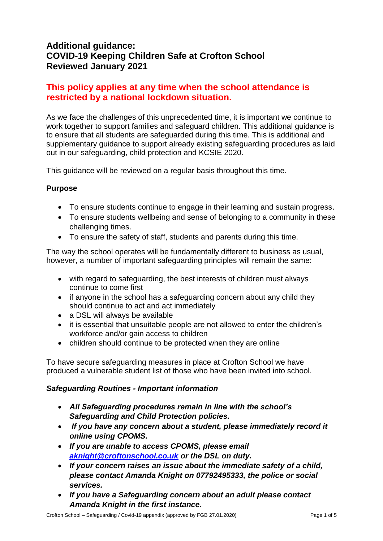# **Additional guidance: COVID-19 Keeping Children Safe at Crofton School Reviewed January 2021**

# **This policy applies at any time when the school attendance is restricted by a national lockdown situation.**

As we face the challenges of this unprecedented time, it is important we continue to work together to support families and safeguard children. This additional guidance is to ensure that all students are safeguarded during this time. This is additional and supplementary guidance to support already existing safeguarding procedures as laid out in our safeguarding, child protection and KCSIE 2020.

This guidance will be reviewed on a regular basis throughout this time.

# **Purpose**

- To ensure students continue to engage in their learning and sustain progress.
- To ensure students wellbeing and sense of belonging to a community in these challenging times.
- To ensure the safety of staff, students and parents during this time.

The way the school operates will be fundamentally different to business as usual, however, a number of important safeguarding principles will remain the same:

- with regard to safeguarding, the best interests of children must always continue to come first
- if anyone in the school has a safeguarding concern about any child they should continue to act and act immediately
- a DSL will always be available
- it is essential that unsuitable people are not allowed to enter the children's workforce and/or gain access to children
- children should continue to be protected when they are online

To have secure safeguarding measures in place at Crofton School we have produced a vulnerable student list of those who have been invited into school.

### *Safeguarding Routines - Important information*

- *All Safeguarding procedures remain in line with the school's Safeguarding and Child Protection policies.*
- *If you have any concern about a student, please immediately record it online using CPOMS.*
- *If you are unable to access CPOMS, please email [aknight@croftonschool.co.uk](mailto:aknight@croftonschool.co.uk) or the DSL on duty.*
- *If your concern raises an issue about the immediate safety of a child, please contact Amanda Knight on 07792495333, the police or social services.*
- *If you have a Safeguarding concern about an adult please contact Amanda Knight in the first instance.*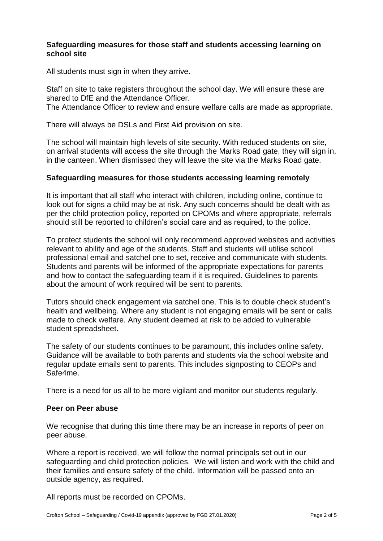## **Safeguarding measures for those staff and students accessing learning on school site**

All students must sign in when they arrive.

Staff on site to take registers throughout the school day. We will ensure these are shared to DfE and the Attendance Officer.

The Attendance Officer to review and ensure welfare calls are made as appropriate.

There will always be DSLs and First Aid provision on site.

The school will maintain high levels of site security. With reduced students on site, on arrival students will access the site through the Marks Road gate, they will sign in, in the canteen. When dismissed they will leave the site via the Marks Road gate.

## **Safeguarding measures for those students accessing learning remotely**

It is important that all staff who interact with children, including online, continue to look out for signs a child may be at risk. Any such concerns should be dealt with as per the child protection policy, reported on CPOMs and where appropriate, referrals should still be reported to children's social care and as required, to the police.

To protect students the school will only recommend approved websites and activities relevant to ability and age of the students. Staff and students will utilise school professional email and satchel one to set, receive and communicate with students. Students and parents will be informed of the appropriate expectations for parents and how to contact the safeguarding team if it is required. Guidelines to parents about the amount of work required will be sent to parents.

Tutors should check engagement via satchel one. This is to double check student's health and wellbeing. Where any student is not engaging emails will be sent or calls made to check welfare. Any student deemed at risk to be added to vulnerable student spreadsheet.

The safety of our students continues to be paramount, this includes online safety. Guidance will be available to both parents and students via the school website and regular update emails sent to parents. This includes signposting to CEOPs and Safe4me.

There is a need for us all to be more vigilant and monitor our students regularly.

### **Peer on Peer abuse**

We recognise that during this time there may be an increase in reports of peer on peer abuse.

Where a report is received, we will follow the normal principals set out in our safeguarding and child protection policies. We will listen and work with the child and their families and ensure safety of the child. Information will be passed onto an outside agency, as required.

All reports must be recorded on CPOMs.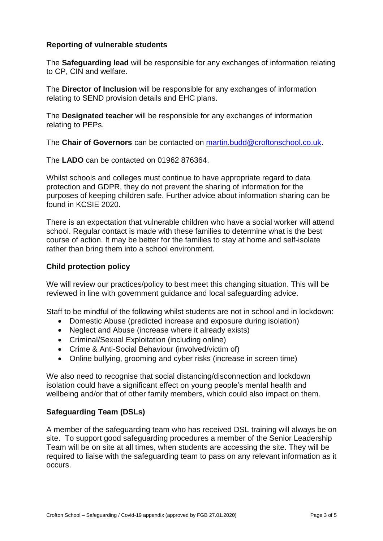# **Reporting of vulnerable students**

The **Safeguarding lead** will be responsible for any exchanges of information relating to CP, CIN and welfare.

The **Director of Inclusion** will be responsible for any exchanges of information relating to SEND provision details and EHC plans.

The **Designated teacher** will be responsible for any exchanges of information relating to PEPs.

The **Chair of Governors** can be contacted on [martin.budd@croftonschool.co.uk.](mailto:martin.budd@croftonschool.co.uk)

The **LADO** can be contacted on 01962 876364.

Whilst schools and colleges must continue to have appropriate regard to data protection and GDPR, they do not prevent the sharing of information for the purposes of keeping children safe. Further advice about information sharing can be found in KCSIE 2020.

There is an expectation that vulnerable children who have a social worker will attend school. Regular contact is made with these families to determine what is the best course of action. It may be better for the families to stay at home and self-isolate rather than bring them into a school environment.

## **Child protection policy**

We will review our practices/policy to best meet this changing situation. This will be reviewed in line with government guidance and local safeguarding advice.

Staff to be mindful of the following whilst students are not in school and in lockdown:

- Domestic Abuse (predicted increase and exposure during isolation)
- Neglect and Abuse (increase where it already exists)
- Criminal/Sexual Exploitation (including online)
- Crime & Anti-Social Behaviour (involved/victim of)
- Online bullying, grooming and cyber risks (increase in screen time)

We also need to recognise that social distancing/disconnection and lockdown isolation could have a significant effect on young people's mental health and wellbeing and/or that of other family members, which could also impact on them.

### **Safeguarding Team (DSLs)**

A member of the safeguarding team who has received DSL training will always be on site. To support good safeguarding procedures a member of the Senior Leadership Team will be on site at all times, when students are accessing the site. They will be required to liaise with the safeguarding team to pass on any relevant information as it occurs.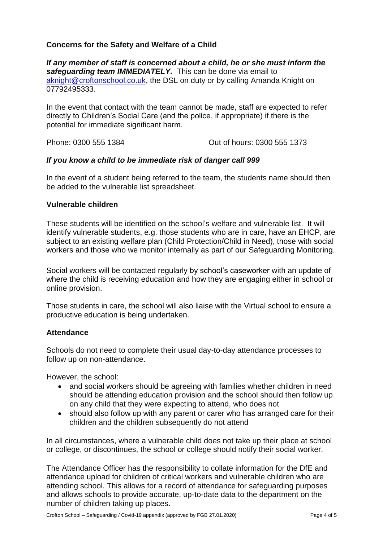# **Concerns for the Safety and Welfare of a Child**

*If any member of staff is concerned about a child, he or she must inform the safeguarding team IMMEDIATELY.* This can be done via email to [aknight@croftonschool.co.uk,](mailto:aknight@croftonschool.co.uk) the DSL on duty or by calling Amanda Knight on 07792495333.

In the event that contact with the team cannot be made, staff are expected to refer directly to Children's Social Care (and the police, if appropriate) if there is the potential for immediate significant harm.

Phone: 0300 555 1384 Out of hours: 0300 555 1373

## *If you know a child to be immediate risk of danger call 999*

In the event of a student being referred to the team, the students name should then be added to the vulnerable list spreadsheet.

### **Vulnerable children**

These students will be identified on the school's welfare and vulnerable list. It will identify vulnerable students, e.g. those students who are in care, have an EHCP, are subject to an existing welfare plan (Child Protection/Child in Need), those with social workers and those who we monitor internally as part of our Safeguarding Monitoring.

Social workers will be contacted regularly by school's caseworker with an update of where the child is receiving education and how they are engaging either in school or online provision.

Those students in care, the school will also liaise with the Virtual school to ensure a productive education is being undertaken.

## **Attendance**

Schools do not need to complete their usual day-to-day attendance processes to follow up on non-attendance.

However, the school:

- and social workers should be agreeing with families whether children in need should be attending education provision and the school should then follow up on any child that they were expecting to attend, who does not
- should also follow up with any parent or carer who has arranged care for their children and the children subsequently do not attend

In all circumstances, where a vulnerable child does not take up their place at school or college, or discontinues, the school or college should notify their social worker.

The Attendance Officer has the responsibility to collate information for the DfE and attendance upload for children of critical workers and vulnerable children who are attending school. This allows for a record of attendance for safeguarding purposes and allows schools to provide accurate, up-to-date data to the department on the number of children taking up places.